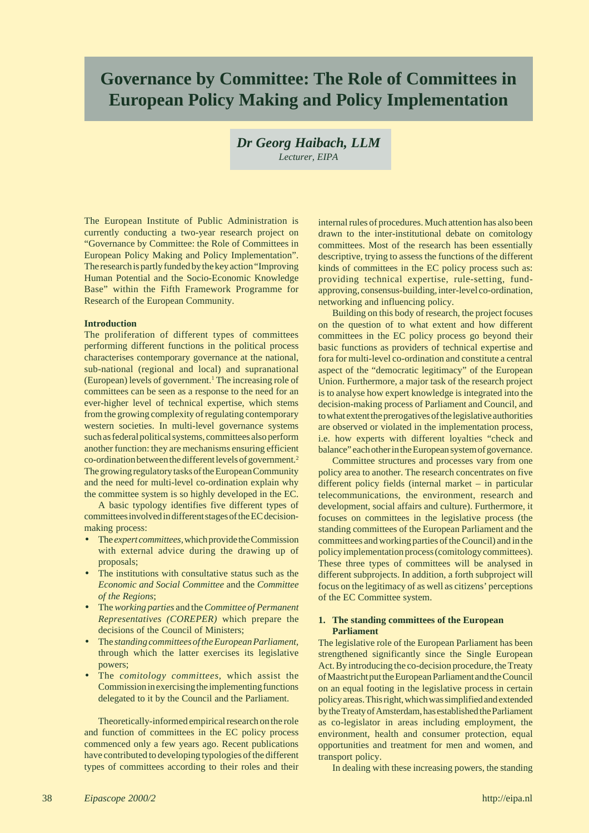# **Governance by Committee: The Role of Committees in European Policy Making and Policy Implementation**

*Dr Georg Haibach, LLM Lecturer, EIPA*

The European Institute of Public Administration is currently conducting a two-year research project on "Governance by Committee: the Role of Committees in European Policy Making and Policy Implementation". The research is partly funded by the key action "Improving Human Potential and the Socio-Economic Knowledge Base" within the Fifth Framework Programme for Research of the European Community.

#### **Introduction**

The proliferation of different types of committees performing different functions in the political process characterises contemporary governance at the national, sub-national (regional and local) and supranational (European) levels of government.<sup>1</sup> The increasing role of committees can be seen as a response to the need for an ever-higher level of technical expertise, which stems from the growing complexity of regulating contemporary western societies. In multi-level governance systems such as federal political systems, committees also perform another function: they are mechanisms ensuring efficient co-ordination between the different levels of government.2 The growing regulatory tasks of the European Community and the need for multi-level co-ordination explain why the committee system is so highly developed in the EC.

A basic typology identifies five different types of committees involved in different stages of the EC decisionmaking process:

- The *expert committees,* which provide the Commission with external advice during the drawing up of proposals;
- The institutions with consultative status such as the *Economic and Social Committee* and the *Committee of the Regions*;
- The *working parties* and the *Committee of Permanent Representatives (COREPER)* which prepare the decisions of the Council of Ministers;
- The *standing committees of the European Parliament,* through which the latter exercises its legislative powers;
- The *comitology committees,* which assist the Commission in exercising the implementing functions delegated to it by the Council and the Parliament.

Theoretically-informed empirical research on the role and function of committees in the EC policy process commenced only a few years ago. Recent publications have contributed to developing typologies of the different types of committees according to their roles and their internal rules of procedures. Much attention has also been drawn to the inter-institutional debate on comitology committees. Most of the research has been essentially descriptive, trying to assess the functions of the different kinds of committees in the EC policy process such as: providing technical expertise, rule-setting, fundapproving, consensus-building, inter-level co-ordination, networking and influencing policy.

Building on this body of research, the project focuses on the question of to what extent and how different committees in the EC policy process go beyond their basic functions as providers of technical expertise and fora for multi-level co-ordination and constitute a central aspect of the "democratic legitimacy" of the European Union. Furthermore, a major task of the research project is to analyse how expert knowledge is integrated into the decision-making process of Parliament and Council, and to what extent the prerogatives of the legislative authorities are observed or violated in the implementation process, i.e. how experts with different loyalties "check and balance" each other in the European system of governance.

Committee structures and processes vary from one policy area to another. The research concentrates on five different policy fields (internal market – in particular telecommunications, the environment, research and development, social affairs and culture). Furthermore, it focuses on committees in the legislative process (the standing committees of the European Parliament and the committees and working parties of the Council) and in the policy implementation process (comitology committees). These three types of committees will be analysed in different subprojects. In addition, a forth subproject will focus on the legitimacy of as well as citizens' perceptions of the EC Committee system.

## **1. The standing committees of the European Parliament**

The legislative role of the European Parliament has been strengthened significantly since the Single European Act. By introducing the co-decision procedure, the Treaty of Maastricht put the European Parliament and the Council on an equal footing in the legislative process in certain policy areas. This right, which was simplified and extended by the Treaty of Amsterdam, has established the Parliament as co-legislator in areas including employment, the environment, health and consumer protection, equal opportunities and treatment for men and women, and transport policy.

In dealing with these increasing powers, the standing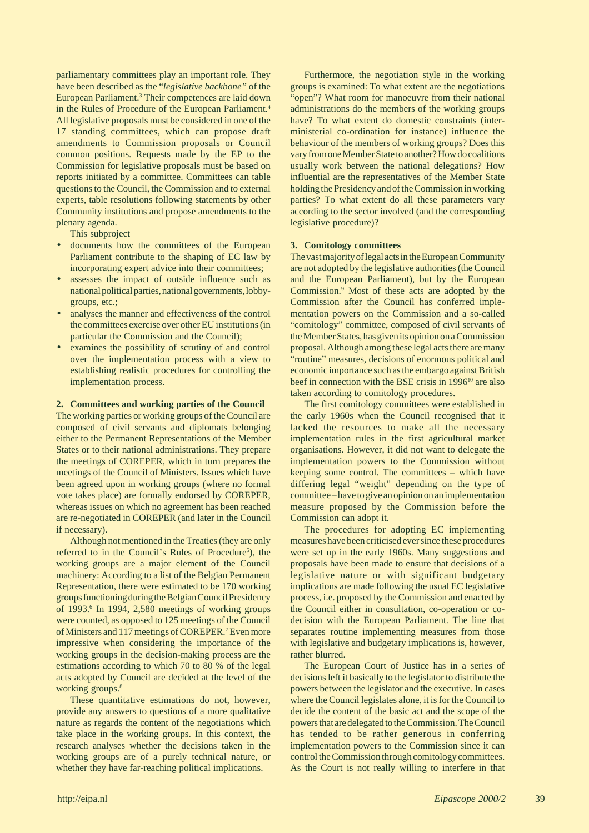parliamentary committees play an important role. They have been described as the "*legislative backbone"* of the European Parliament.<sup>3</sup> Their competences are laid down in the Rules of Procedure of the European Parliament.<sup>4</sup> All legislative proposals must be considered in one of the 17 standing committees, which can propose draft amendments to Commission proposals or Council common positions. Requests made by the EP to the Commission for legislative proposals must be based on reports initiated by a committee. Committees can table questions to the Council, the Commission and to external experts, table resolutions following statements by other Community institutions and propose amendments to the plenary agenda.

This subproject

- documents how the committees of the European Parliament contribute to the shaping of EC law by incorporating expert advice into their committees;
- assesses the impact of outside influence such as national political parties, national governments, lobbygroups, etc.;
- analyses the manner and effectiveness of the control the committees exercise over other EU institutions (in particular the Commission and the Council);
- examines the possibility of scrutiny of and control over the implementation process with a view to establishing realistic procedures for controlling the implementation process.

#### **2. Committees and working parties of the Council**

The working parties or working groups of the Council are composed of civil servants and diplomats belonging either to the Permanent Representations of the Member States or to their national administrations. They prepare the meetings of COREPER, which in turn prepares the meetings of the Council of Ministers. Issues which have been agreed upon in working groups (where no formal vote takes place) are formally endorsed by COREPER, whereas issues on which no agreement has been reached are re-negotiated in COREPER (and later in the Council if necessary).

Although not mentioned in the Treaties (they are only referred to in the Council's Rules of Procedure<sup>5</sup>), the working groups are a major element of the Council machinery: According to a list of the Belgian Permanent Representation, there were estimated to be 170 working groups functioning during the Belgian Council Presidency of 1993.<sup>6</sup> In 1994, 2,580 meetings of working groups were counted, as opposed to 125 meetings of the Council of Ministers and 117 meetings of COREPER.<sup>7</sup> Even more impressive when considering the importance of the working groups in the decision-making process are the estimations according to which 70 to 80 % of the legal acts adopted by Council are decided at the level of the working groups.<sup>8</sup>

These quantitative estimations do not, however, provide any answers to questions of a more qualitative nature as regards the content of the negotiations which take place in the working groups. In this context, the research analyses whether the decisions taken in the working groups are of a purely technical nature, or whether they have far-reaching political implications.

Furthermore, the negotiation style in the working groups is examined: To what extent are the negotiations "open"? What room for manoeuvre from their national administrations do the members of the working groups have? To what extent do domestic constraints (interministerial co-ordination for instance) influence the behaviour of the members of working groups? Does this vary from one Member State to another? How do coalitions usually work between the national delegations? How influential are the representatives of the Member State holding the Presidency and of the Commission in working parties? To what extent do all these parameters vary according to the sector involved (and the corresponding legislative procedure)?

#### **3. Comitology committees**

The vast majority of legal acts in the European Community are not adopted by the legislative authorities (the Council and the European Parliament), but by the European Commission.9 Most of these acts are adopted by the Commission after the Council has conferred implementation powers on the Commission and a so-called "comitology" committee, composed of civil servants of the Member States, has given its opinion on a Commission proposal. Although among these legal acts there are many "routine" measures, decisions of enormous political and economic importance such as the embargo against British beef in connection with the BSE crisis in 1996<sup>10</sup> are also taken according to comitology procedures.

The first comitology committees were established in the early 1960s when the Council recognised that it lacked the resources to make all the necessary implementation rules in the first agricultural market organisations. However, it did not want to delegate the implementation powers to the Commission without keeping some control. The committees – which have differing legal "weight" depending on the type of committee – have to give an opinion on an implementation measure proposed by the Commission before the Commission can adopt it.

The procedures for adopting EC implementing measures have been criticised ever since these procedures were set up in the early 1960s. Many suggestions and proposals have been made to ensure that decisions of a legislative nature or with significant budgetary implications are made following the usual EC legislative process, i.e. proposed by the Commission and enacted by the Council either in consultation, co-operation or codecision with the European Parliament. The line that separates routine implementing measures from those with legislative and budgetary implications is, however, rather blurred.

The European Court of Justice has in a series of decisions left it basically to the legislator to distribute the powers between the legislator and the executive. In cases where the Council legislates alone, it is for the Council to decide the content of the basic act and the scope of the powers that are delegated to the Commission. The Council has tended to be rather generous in conferring implementation powers to the Commission since it can control the Commission through comitology committees. As the Court is not really willing to interfere in that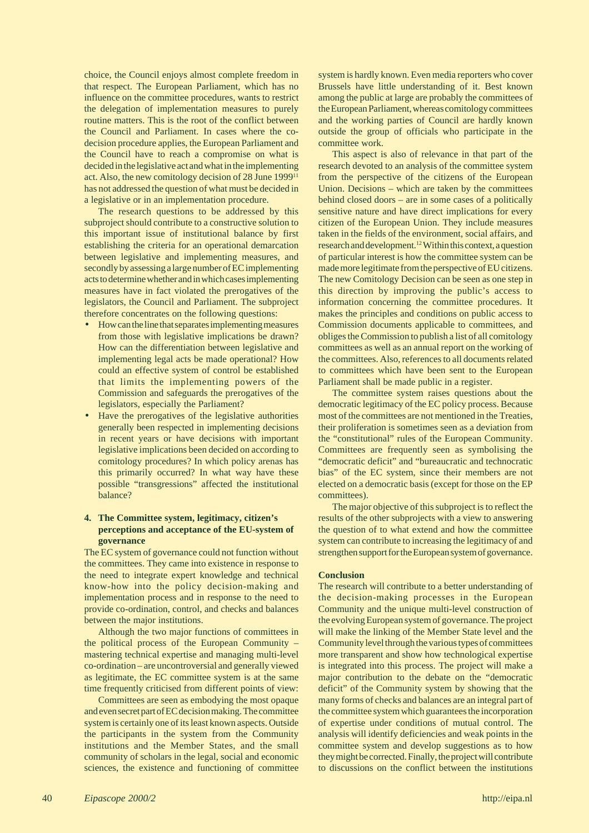choice, the Council enjoys almost complete freedom in that respect. The European Parliament, which has no influence on the committee procedures, wants to restrict the delegation of implementation measures to purely routine matters. This is the root of the conflict between the Council and Parliament. In cases where the codecision procedure applies, the European Parliament and the Council have to reach a compromise on what is decided in the legislative act and what in the implementing act. Also, the new comitology decision of 28 June 199911 has not addressed the question of what must be decided in a legislative or in an implementation procedure.

The research questions to be addressed by this subproject should contribute to a constructive solution to this important issue of institutional balance by first establishing the criteria for an operational demarcation between legislative and implementing measures, and secondly by assessing a large number of EC implementing acts to determine whether and in which cases implementing measures have in fact violated the prerogatives of the legislators, the Council and Parliament. The subproject therefore concentrates on the following questions:

- How can the line that separates implementing measures from those with legislative implications be drawn? How can the differentiation between legislative and implementing legal acts be made operational? How could an effective system of control be established that limits the implementing powers of the Commission and safeguards the prerogatives of the legislators, especially the Parliament?
- Have the prerogatives of the legislative authorities generally been respected in implementing decisions in recent years or have decisions with important legislative implications been decided on according to comitology procedures? In which policy arenas has this primarily occurred? In what way have these possible "transgressions" affected the institutional balance?

# **4. The Committee system, legitimacy, citizen's perceptions and acceptance of the EU-system of governance**

The EC system of governance could not function without the committees. They came into existence in response to the need to integrate expert knowledge and technical know-how into the policy decision-making and implementation process and in response to the need to provide co-ordination, control, and checks and balances between the major institutions.

Although the two major functions of committees in the political process of the European Community – mastering technical expertise and managing multi-level co-ordination – are uncontroversial and generally viewed as legitimate, the EC committee system is at the same time frequently criticised from different points of view:

Committees are seen as embodying the most opaque and even secret part of EC decision making. The committee system is certainly one of its least known aspects. Outside the participants in the system from the Community institutions and the Member States, and the small community of scholars in the legal, social and economic sciences, the existence and functioning of committee system is hardly known. Even media reporters who cover Brussels have little understanding of it. Best known among the public at large are probably the committees of the European Parliament, whereas comitology committees and the working parties of Council are hardly known outside the group of officials who participate in the committee work.

This aspect is also of relevance in that part of the research devoted to an analysis of the committee system from the perspective of the citizens of the European Union. Decisions – which are taken by the committees behind closed doors – are in some cases of a politically sensitive nature and have direct implications for every citizen of the European Union. They include measures taken in the fields of the environment, social affairs, and research and development.12 Within this context, a question of particular interest is how the committee system can be made more legitimate from the perspective of EU citizens. The new Comitology Decision can be seen as one step in this direction by improving the public's access to information concerning the committee procedures. It makes the principles and conditions on public access to Commission documents applicable to committees, and obliges the Commission to publish a list of all comitology committees as well as an annual report on the working of the committees. Also, references to all documents related to committees which have been sent to the European Parliament shall be made public in a register.

The committee system raises questions about the democratic legitimacy of the EC policy process. Because most of the committees are not mentioned in the Treaties, their proliferation is sometimes seen as a deviation from the "constitutional" rules of the European Community. Committees are frequently seen as symbolising the "democratic deficit" and "bureaucratic and technocratic bias" of the EC system, since their members are not elected on a democratic basis (except for those on the EP committees).

The major objective of this subproject is to reflect the results of the other subprojects with a view to answering the question of to what extend and how the committee system can contribute to increasing the legitimacy of and strengthen support for the European system of governance.

## **Conclusion**

The research will contribute to a better understanding of the decision-making processes in the European Community and the unique multi-level construction of the evolving European system of governance. The project will make the linking of the Member State level and the Community level through the various types of committees more transparent and show how technological expertise is integrated into this process. The project will make a major contribution to the debate on the "democratic deficit" of the Community system by showing that the many forms of checks and balances are an integral part of the committee system which guarantees the incorporation of expertise under conditions of mutual control. The analysis will identify deficiencies and weak points in the committee system and develop suggestions as to how they might be corrected. Finally, the project will contribute to discussions on the conflict between the institutions